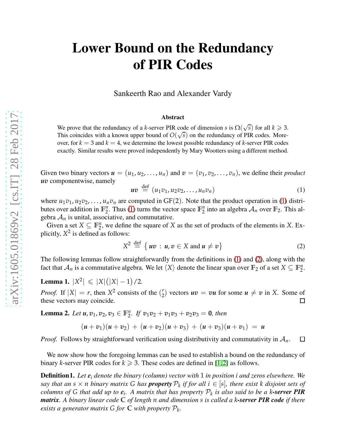## Lower Bound on the Redundancy of PIR Codes

Sankeerth Rao and Alexander Vardy

## Abstract

We prove that the redundancy of a *k*-server PIR code of dimension *s* is  $\Omega(\sqrt{s})$  for all  $k \ge 3$ . This coincides with a known upper bound of  $O(\sqrt{s})$  on the redundancy of PIR codes. Moreover, for  $k = 3$  and  $k = 4$ , we determine the lowest possible redundancy of *k*-server PIR codes exactly. Similar results were proved independently by Mary Wootters using a different method.

Given two binary vectors  $u = (u_1, u_2, \dots, u_n)$  and  $v = (v_1, v_2, \dots, v_n)$ , we define their *product uv* componentwise, namely

<span id="page-0-0"></span>
$$
uv \stackrel{\text{def}}{=} (u_1v_1, u_2v_2, \dots, u_nv_n) \tag{1}
$$

where  $u_1v_1, u_2v_2, \ldots, u_nv_n$  are computed in GF(2). Note that the product operation in [\(1\)](#page-0-0) distributes over addition in  $\mathbb{F}_2^n$ . Thus [\(1\)](#page-0-0) turns the vector space  $\mathbb{F}_2^n$  into an algebra  $\mathcal{A}_n$  over  $\mathbb{F}_2$ . This algebra  $A_n$  is unital, associative, and commutative.

Given a set  $X \subseteq \mathbb{F}_2^n$ , we define the square of *X* as the set of products of the elements in *X*. Explicitly,  $X^2$  is defined as follows:

<span id="page-0-1"></span>
$$
X^2 \stackrel{\text{def}}{=} \{ uv : u, v \in X \text{ and } u \neq v \}
$$
 (2)

The following lemmas follow straightforwardly from the definitions in [\(1\)](#page-0-0) and [\(2\)](#page-0-1), along with the fact that  $\mathcal{A}_n$  is a commutative algebra. We let  $\langle X \rangle$  denote the linear span over  $\mathbb{F}_2$  of a set  $X \subseteq \mathbb{F}_2^n$ .

<span id="page-0-3"></span>Lemma 1.  $|X^2| \leq |X|(|X|-1)/2$ *.* 

*Proof.* If  $|X| = r$ , then  $X^2$  consists of the  $\binom{r}{2}$  $\binom{r}{2}$  vectors  $uv = vu$  for some  $u \neq v$  in *X*. Some of these vectors may coincide.

<span id="page-0-4"></span>**Lemma 2.** Let  $u, v_1, v_2, v_3 \in \mathbb{F}_2^n$ . If  $v_1v_2 + v_1v_3 + v_2v_3 = 0$ , then

$$
(u + v1)(u + v2) + (u + v2)(u + v3) + (u + v3)(u + v1) = u
$$

*Proof.* Follows by straightforward verification using distributivity and commutativity in  $A_n$ .  $\Box$ 

We now show how the foregoing lemmas can be used to establish a bound on the redundancy of binary *k*-server PIR codes for  $k \ge 3$ . These codes are defined in [\[1,](#page-2-0)[2\]](#page-2-1) as follows.

<span id="page-0-2"></span>Definition1. *Let e<sup>i</sup> denote the binary (column) vector with* 1 *in position i and zeros elsewhere. We say that an*  $s \times n$  *binary matrix G has property*  $\mathcal{P}_k$  *if for all*  $i \in [s]$ *, there exist k disjoint sets of columns of G that add up to*  $e_i$ *. A matrix that has property*  $\mathcal{P}_k$  *is also said to be a k-server* PIR *matrix. A binary linear code* **C** *of length n and dimension s is called a k-server PIR code if there exists a generator matrix*  $G$  *for*  $C$  *with property*  $P_k$ *.*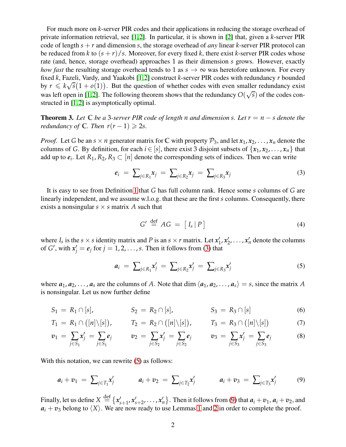For much more on *k*-server PIR codes and their applications in reducing the storage overhead of private information retrieval, see [\[1,](#page-2-0)[2\]](#page-2-1). In particular, it is shown in [\[2\]](#page-2-1) that, given a *k*-server PIR code of length  $s + r$  and dimension *s*, the storage overhead of *any* linear *k*-server PIR protocol can be reduced from *k* to  $(s + r)/s$ . Moreover, for every fixed *k*, there exist *k*-server PIR codes whose rate (and, hence, storage overhead) approaches 1 as their dimension *s* grows. However, exactly *how fast* the resulting storage overhead tends to 1 as  $s \to \infty$  was heretofore unknown. For every fixed *k*, Fazeli, Vardy, and Yaakobi [\[1,](#page-2-0)[2\]](#page-2-1) construct *k*-server PIR codes with redundancy *r* bounded by  $r \leq k\sqrt{s}(1+o(1))$ . But the question of whether codes with even smaller redundancy exist was left open in [\[1,](#page-2-0)[2\]](#page-2-1). The following theorem shows that the redundancy  $O(\sqrt{s})$  of the codes constructed in [\[1,](#page-2-0)[2\]](#page-2-1) is asymptotically optimal.

<span id="page-1-4"></span>**Theorem 3.** Let  $\mathbb C$  be a 3-server PIR code of length *n* and dimension *s*. Let  $r = n - s$  denote the *redundancy of*  $\mathbb{C}$ *. Then*  $r(r-1) \geq 2s$ *.* 

*Proof.* Let *G* be an  $s \times n$  generator matrix for C with property  $P_3$ , and let  $x_1, x_2, \ldots, x_n$  denote the columns of *G*. By definition, for each  $i \in [s]$ , there exist 3 disjoint subsets of  $\{x_1, x_2, \ldots, x_n\}$  that add up to  $e_i$ . Let  $R_1, R_2, R_3 \subset [n]$  denote the corresponding sets of indices. Then we can write

<span id="page-1-0"></span>
$$
e_i = \sum_{j \in R_1} x_j = \sum_{j \in R_2} x_j = \sum_{j \in R_3} x_j \tag{3}
$$

It is easy to see from Definition [1](#page-0-2) that *G* has full column rank. Hence some *s* columns of *G* are linearly independent, and we assume w.l.o.g. that these are the first *s* columns. Consequently, there exists a nonsingular  $s \times s$  matrix A such that

<span id="page-1-3"></span>
$$
G' \stackrel{\text{def}}{=} AG = [I_s | P]
$$
 (4)

where  $I_s$  is the  $s \times s$  identity matrix and *P* is an  $s \times r$  matrix. Let  $x'_1, x'_2, \ldots, x'_n$  denote the columns of *G'*, with  $x'_j = e_j$  for  $j = 1, 2, ..., s$ . Then it follows from [\(3\)](#page-1-0) that

<span id="page-1-1"></span>
$$
a_i = \sum_{j \in R_1} x'_j = \sum_{j \in R_2} x'_j = \sum_{j \in R_3} x'_j \tag{5}
$$

where  $a_1, a_2, \ldots, a_s$  are the columns of *A*. Note that dim  $\langle a_1, a_2, \ldots, a_s \rangle = s$ , since the matrix *A* is nonsingular. Let us now further define

$$
S_1 = R_1 \cap [s], \qquad S_2 = R_2 \cap [s], \qquad S_3 = R_3 \cap [s]
$$
 (6)

$$
T_1 = R_1 \cap ([n] \setminus [s]), \qquad T_2 = R_2 \cap ([n] \setminus [s]), \qquad T_3 = R_3 \cap ([n] \setminus [s]) \qquad (7)
$$

$$
v_1 = \sum_{j \in S_1} x'_j = \sum_{j \in S_1} e_j \qquad v_2 = \sum_{j \in S_2} x'_j = \sum_{j \in S_2} e_j \qquad v_3 = \sum_{j \in S_3} x'_j = \sum_{j \in S_3} e_j \qquad (8)
$$

With this notation, we can rewrite  $(5)$  as follows:

<span id="page-1-2"></span>
$$
a_i + v_1 = \sum_{j \in T_1} x'_j \qquad a_i + v_2 = \sum_{j \in T_2} x'_j \qquad a_i + v_3 = \sum_{j \in T_3} x'_j \qquad (9)
$$

Finally, let us define  $X\stackrel{{\rm def}}{=} \{x'_{s+1},x'_{s+2},\ldots,x'_n\}$ . Then it follows from [\(9\)](#page-1-2) that  $a_i+v_1, a_i+v_2,$  and  $a_i + v_3$  belong to  $\langle X \rangle$ . We are now ready to use Lemmas [1](#page-0-3) and [2](#page-0-4) in order to complete the proof.